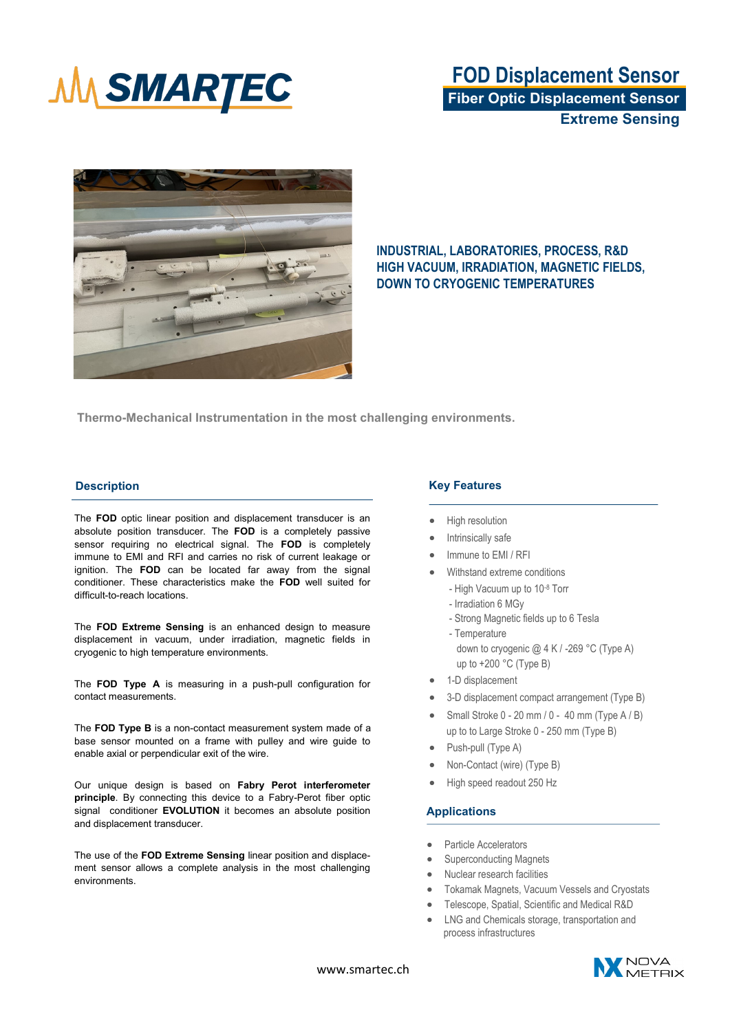

## **FOD Displacement Sensor Fiber Optic Displacement Sensor Extreme Sensing**



## **INDUSTRIAL, LABORATORIES, PROCESS, R&D HIGH VACUUM, IRRADIATION, MAGNETIC FIELDS, DOWN TO CRYOGENIC TEMPERATURES**

**Thermo-Mechanical Instrumentation in the most challenging environments.**

### **Description**

The **FOD** optic linear position and displacement transducer is an absolute position transducer. The **FOD** is a completely passive sensor requiring no electrical signal. The **FOD** is completely immune to EMI and RFI and carries no risk of current leakage or ignition. The **FOD** can be located far away from the signal conditioner. These characteristics make the **FOD** well suited for difficult-to-reach locations.

The **FOD Extreme Sensing** is an enhanced design to measure displacement in vacuum, under irradiation, magnetic fields in cryogenic to high temperature environments.

The **FOD Type A** is measuring in a push-pull configuration for contact measurements.

The **FOD Type B** is a non-contact measurement system made of a base sensor mounted on a frame with pulley and wire guide to enable axial or perpendicular exit of the wire.

Our unique design is based on **Fabry Perot interferometer principle**. By connecting this device to a Fabry-Perot fiber optic signal conditioner **EVOLUTION** it becomes an absolute position and displacement transducer.

The use of the **FOD Extreme Sensing** linear position and displacement sensor allows a complete analysis in the most challenging environments.

### **Key Features**

- High resolution
- Intrinsically safe
- Immune to EMI / RFI
- Withstand extreme conditions
	- High Vacuum up to 10-8 Torr
	- Irradiation 6 MGy
	- Strong Magnetic fields up to 6 Tesla
	- Temperature down to cryogenic @ 4 K / -269 °C (Type A) up to +200 °C (Type B)
- 1-D displacement
- 3-D displacement compact arrangement (Type B)
- Small Stroke 0 20 mm / 0 40 mm (Type A / B) up to to Large Stroke 0 - 250 mm (Type B)
- Push-pull (Type A)
- Non-Contact (wire) (Type B)
- High speed readout 250 Hz

### **Applications**

- Particle Accelerators
- Superconducting Magnets
- Nuclear research facilities
- Tokamak Magnets, Vacuum Vessels and Cryostats
- Telescope, Spatial, Scientific and Medical R&D
- LNG and Chemicals storage, transportation and process infrastructures